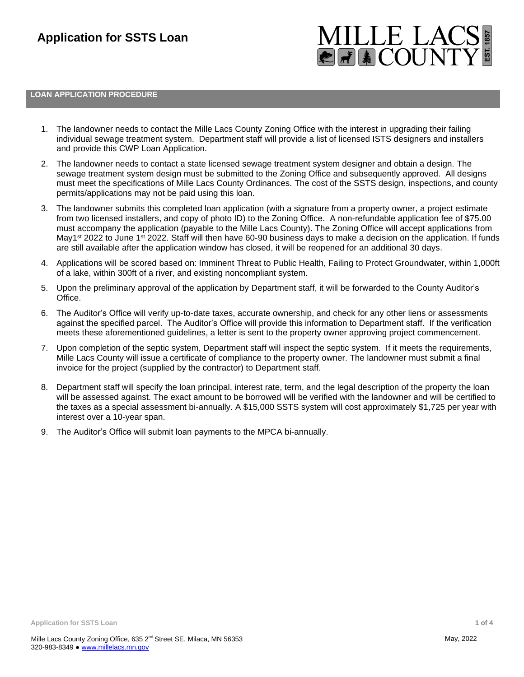

# **LOAN APPLICATION PROCEDURE**

- 1. The landowner needs to contact the Mille Lacs County Zoning Office with the interest in upgrading their failing individual sewage treatment system. Department staff will provide a list of licensed ISTS designers and installers and provide this CWP Loan Application.
- 2. The landowner needs to contact a state licensed sewage treatment system designer and obtain a design. The sewage treatment system design must be submitted to the Zoning Office and subsequently approved. All designs must meet the specifications of Mille Lacs County Ordinances. The cost of the SSTS design, inspections, and county permits/applications may not be paid using this loan.
- 3. The landowner submits this completed loan application (with a signature from a property owner, a project estimate from two licensed installers, and copy of photo ID) to the Zoning Office. A non-refundable application fee of \$75.00 must accompany the application (payable to the Mille Lacs County). The Zoning Office will accept applications from May1<sup>st</sup> 2022 to June 1<sup>st</sup> 2022. Staff will then have 60-90 business days to make a decision on the application. If funds are still available after the application window has closed, it will be reopened for an additional 30 days.
- 4. Applications will be scored based on: Imminent Threat to Public Health, Failing to Protect Groundwater, within 1,000ft of a lake, within 300ft of a river, and existing noncompliant system.
- 5. Upon the preliminary approval of the application by Department staff, it will be forwarded to the County Auditor's Office.
- 6. The Auditor's Office will verify up-to-date taxes, accurate ownership, and check for any other liens or assessments against the specified parcel. The Auditor's Office will provide this information to Department staff. If the verification meets these aforementioned guidelines, a letter is sent to the property owner approving project commencement.
- 7. Upon completion of the septic system, Department staff will inspect the septic system. If it meets the requirements, Mille Lacs County will issue a certificate of compliance to the property owner. The landowner must submit a final invoice for the project (supplied by the contractor) to Department staff.
- 8. Department staff will specify the loan principal, interest rate, term, and the legal description of the property the loan will be assessed against. The exact amount to be borrowed will be verified with the landowner and will be certified to the taxes as a special assessment bi-annually. A \$15,000 SSTS system will cost approximately \$1,725 per year with interest over a 10-year span.
- 9. The Auditor's Office will submit loan payments to the MPCA bi-annually.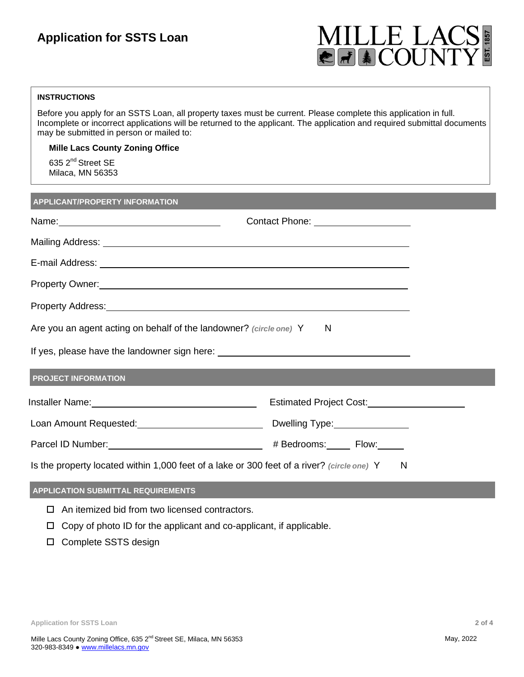# **Application for SSTS Loan**



# **INSTRUCTIONS**

Before you apply for an SSTS Loan, all property taxes must be current. Please complete this application in full. Incomplete or incorrect applications will be returned to the applicant. The application and required submittal documents may be submitted in person or mailed to:

**Mille Lacs County Zoning Office**

635 2<sup>nd</sup> Street SE Milaca, MN 56353

## **APPLICANT/PROPERTY INFORMATION**

|                                                                                                                                                                                                                                | Contact Phone: ____________________ |
|--------------------------------------------------------------------------------------------------------------------------------------------------------------------------------------------------------------------------------|-------------------------------------|
|                                                                                                                                                                                                                                |                                     |
| E-mail Address: Note of the Contract of the Contract of the Contract of the Contract of the Contract of the Contract of the Contract of the Contract of the Contract of the Contract of the Contract of the Contract of the Co |                                     |
| Property Owner: <u>contract and a series of the series of the series of the series of the series of the series of</u>                                                                                                          |                                     |
|                                                                                                                                                                                                                                |                                     |
| Are you an agent acting on behalf of the landowner? (circle one) Y N                                                                                                                                                           |                                     |
|                                                                                                                                                                                                                                |                                     |
| <b>PROJECT INFORMATION</b>                                                                                                                                                                                                     |                                     |
|                                                                                                                                                                                                                                | Estimated Project Cost:             |
| Loan Amount Requested: University of Divelling Type: University Public Property Coan Amount Requested:                                                                                                                         |                                     |
|                                                                                                                                                                                                                                |                                     |
| Is the property located within 1,000 feet of a lake or 300 feet of a river? (circle one) Y<br>N                                                                                                                                |                                     |
| <b>APPLICATION SUBMITTAL REQUIREMENTS</b>                                                                                                                                                                                      |                                     |

- $\Box$  An itemized bid from two licensed contractors.
- $\Box$  Copy of photo ID for the applicant and co-applicant, if applicable.
- □ Complete SSTS design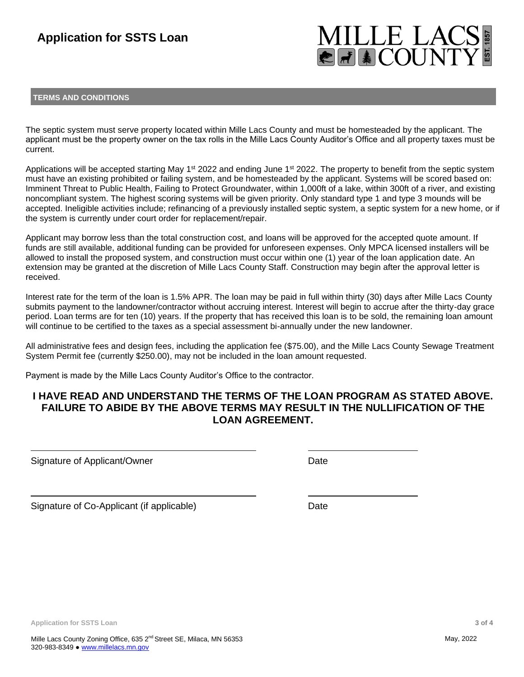# **MILLE LAC**<br>EFICOUNT

# **TERMS AND CONDITIONS**

The septic system must serve property located within Mille Lacs County and must be homesteaded by the applicant. The applicant must be the property owner on the tax rolls in the Mille Lacs County Auditor's Office and all property taxes must be current.

Applications will be accepted starting May 1<sup>st</sup> 2022 and ending June 1<sup>st</sup> 2022. The property to benefit from the septic system must have an existing prohibited or failing system, and be homesteaded by the applicant. Systems will be scored based on: Imminent Threat to Public Health, Failing to Protect Groundwater, within 1,000ft of a lake, within 300ft of a river, and existing noncompliant system. The highest scoring systems will be given priority. Only standard type 1 and type 3 mounds will be accepted. Ineligible activities include; refinancing of a previously installed septic system, a septic system for a new home, or if the system is currently under court order for replacement/repair.

Applicant may borrow less than the total construction cost, and loans will be approved for the accepted quote amount. If funds are still available, additional funding can be provided for unforeseen expenses. Only MPCA licensed installers will be allowed to install the proposed system, and construction must occur within one (1) year of the loan application date. An extension may be granted at the discretion of Mille Lacs County Staff. Construction may begin after the approval letter is received.

Interest rate for the term of the loan is 1.5% APR. The loan may be paid in full within thirty (30) days after Mille Lacs County submits payment to the landowner/contractor without accruing interest. Interest will begin to accrue after the thirty-day grace period. Loan terms are for ten (10) years. If the property that has received this loan is to be sold, the remaining loan amount will continue to be certified to the taxes as a special assessment bi-annually under the new landowner.

All administrative fees and design fees, including the application fee (\$75.00), and the Mille Lacs County Sewage Treatment System Permit fee (currently \$250.00), may not be included in the loan amount requested.

Payment is made by the Mille Lacs County Auditor's Office to the contractor.

# **I HAVE READ AND UNDERSTAND THE TERMS OF THE LOAN PROGRAM AS STATED ABOVE. FAILURE TO ABIDE BY THE ABOVE TERMS MAY RESULT IN THE NULLIFICATION OF THE LOAN AGREEMENT.**

Signature of Applicant/Owner Date Date

Signature of Co-Applicant (if applicable) Date

**Application for SSTS Loan 3 of 4**